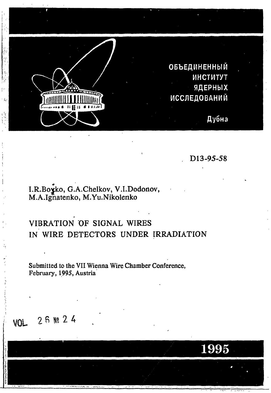

D13-95-58

1995

# I.R.Boyko, G.A.Chelkov, V.I.Dodonov,<br>M.A.Ignatenko, M.Yu.Nikolenko

### VIBRATION OF SIGNAL WIRES IN WIRE DETECTORS UNDER IRRADIATION

Submitted to the VII Wienna Wire Chamber Conference, February, 1995, Austria

## **VOL** 26 Nº 24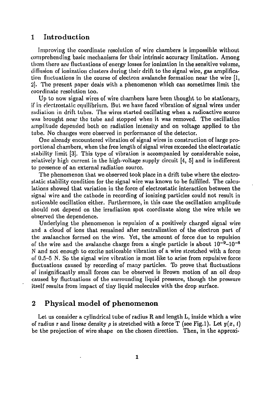#### 1 Introduction

Improving the coordinate resolution of wire chambers is impossible without comprehending basic mechanisms for their intrinsic accuracy limitation. Among them there are fluctuations of energy losses for ionization in the sensitive volume, diffusion of ionization clusters during their drift to the signal wire, gas amplification fluctuations in the course of electron avalanche formation near the wire [1, 2]. The present paper deals with a phenomenon which can sometimes limit the coordinate resolution too.

Up to now signal wires of wire chambers have been thought to be stationary, if in electrostatic equilibrium, But we have faced vibration of signal wires under radiation in drift tubes. The wires started oscillating when a radioactive source was brought near the tube and stopped when it was removed. The oscillation amplitude depended both on radiation intensity and on voltage applied to the tube. No changes were observed in performance of the detector.

One already encountered vibration of signal wires in construction of large proportional chambers, when the free length of signal wires exceeded the electrostatic stability limit [3]. This type of vibration is accompanied by considerable noise, relatively high current in the high-voltage supply circuit [4, 5] and is indifferent to presence of an external radiation source.

The phenomenon that we observed took place in a drift tube where the electrostatic stability condition for the signal wire was known to be fulfilled. The calculations showed that variation in the force of electrostatic interaction between the signal wire and the cathode in recording of ionizing particles could not result in noticeable oscillation either. Furthermore, in this case the oscillation amplitude should not depend on the irradiation spot coordinate along the wire while we observed the dependence.

Underlying the phenomenon is repulsion of a positively charged signal wire and a cloud of ions that remained after neutralization of the electron part of the avalanches formed on the wire. Yet, the amount of force due to repulsion of the wire and the avalanche charge from a single particle is about  $10^{-9}$ – $10^{-8}$ N and not enough to excite noticeable vibration of a wire stretched with a force of 0.5-5 N. So the signal wire vibration is most like to arise from repulsive force fluctuations caused by recording of many particles. To prove that fluctuations of insignificantly small forces can be observed is Brown motion of an oil drop caused by fluctuations of the surrounding liquid pressure, though the pressure itself results from impact of tiny liquid molecules with the drop surface.

#### 2 Physical model of phenomenon

Let us consider a cylindrical tube of radius R and length L, inside which a wire of radius r and linear density  $\rho$  is stretched with a force T (see Fig.1). Let  $y(x, t)$ be the projection of wire shape on the chosen direction. Then, in the approxi-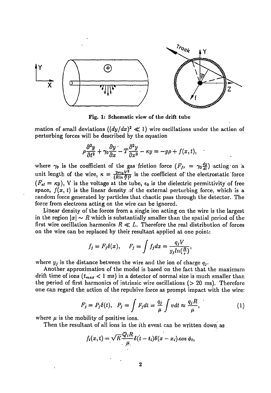

Fig. 1: Schematic view of the drift tube

mation of small deviations  $((dy/dx)^2 \ll 1)$  wire oscillations under the action of perturbing forces will be described by the equation

$$
\rho \frac{\partial^2 y}{\partial t^2} + \gamma_0 \frac{\partial y}{\partial x} - T \frac{\partial^2 y}{\partial x^2} - \kappa y = -g \rho + f(x, t),
$$

where  $\gamma_0$  is the coefficient of the gas friction force  $(F_{fr} = \gamma_0 \frac{dy}{dt})$  acting on a unit length of the wire,  $\kappa = \frac{2\pi\epsilon_0 V^2}{(B \ln E)^2}$  is the coefficient of the electrostatic force  $(F_{el} = \kappa y)$ , V is the voltage at the tube,  $\epsilon_0$  is the dielectric permittivity of free space,  $f(x, t)$  is the linear density of the external perturbing force, which is a random force generated by particles that chaotic pass through the detector. The force from electrons acting on the wire can be ignored.

Linear density of the forces from a single ion acting on the wire is the largest in the region  $\vert x\vert \sim R$  which is substantially smaller than the spatial period of the first wire oscillation harmonics  $R \ll L$ . Therefore the real distribution of forces on the wire can be replaced by their resultant applied at one point:

$$
f_j = F_j \delta(x), \quad F_j = \int f_j dx = \frac{q_j V}{y_j ln(\frac{R}{r})},
$$

where  $y_j$  is the distance between the wire and the ion of charge  $q_i$ .

Another approximation of the model is based on the fact that the maximum drift time of ions *(tmax <* 1 ms) in a detector of normal size is much smaller than the period of first harmonics of intrinsic wire oscillations  $(> 20 \text{ ms})$ . Therefore one can regard the action of the repulsive force as prompt impact with the wire:

$$
F_j = P_j \delta(t), \quad P_j = \int F_j dt = \frac{q_j}{\mu} \int v dt \approx \frac{q_j R}{\mu}, \tag{1}
$$

where  $\mu$  is the mobility of positive ions.

Then the resultant of all ions in the *i*th event can be written down as

$$
f_i(x,t) = \sqrt{K} \frac{Q_i R}{\mu} \delta(t-t_i) \delta(x-x_i) \cos \phi_i,
$$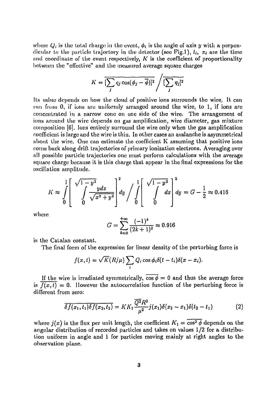where  $Q_i$  is the total charge in the event,  $\phi_i$  is the angle of axis y with a perpendicular to the particle trajectory in the detector (see Fig.1),  $t_i$ ,  $x_i$  are the time and coordinate of the event respectively,  $K$  is the coefficient of proportionality between the "effective" and the measured average square charges

$$
K = \overline{\left[\sum_j q_j \cos(\phi_j - \overline{\phi})\right]^2} / \overline{\left[\sum_j q_j\right]^2}
$$

Its value depends on how the cloud of positive ions surrounds the wire. It can run from 0, if ions arc uniformly arranged around the wire, to 1, if ions are concentrated in a narrow cone on one side of the wire. The arrangement of ions around the wire depends on gas amplification, wire diameter, gas mixture composition [6]. Ions entirely surround the wire only when the gas amplification coefficient is large and the wire is thin. In other cases an avalanche is asymmetrical about the wire. One can estimate the coefficient К assuming that positive ions come back along drift trajectories of primary ionization electrons. Averaging over all possible particle trajectories one must perform calculations with the average square charge because it is this charge that appear in the final expressions for the oscillation amplitude.

$$
K \approx \int_{0}^{1} \left[ \int_{0}^{\sqrt{1-y^2}} \frac{y dx}{\sqrt{x^2 + y^2}} \right] dy / \int_{0}^{1} \left[ \int_{0}^{\sqrt{1-y^2}} dx \right] dy = G - \frac{1}{2} \approx 0.416
$$

where  

$$
G = \sum_{k=0}^{+\infty} \frac{(-1)^k}{(2k+1)^2} \approx 0.916
$$

is the Catalan constant.

The final form of the expression for linear density of the perturbing force is

$$
f(x,t) = \sqrt{K}(R/\mu) \sum_i Q_i \cos \phi_i \delta(t-t_i) \delta(x-x_i).
$$

If the wire is irradiated symmetrically,  $\cos \phi = 0$  and thus the average force is  $\overline{f(x,t)} = 0$ . However the autocorrelation function of the perturbing force is different from zero:

$$
\overline{\delta f(x_1,t_1)\delta f(x_2,t_2)} = K K_1 \frac{\overline{Q^2} R^2}{\mu^2} j(x_1) \delta(x_2 - x_1) \delta(t_2 - t_1) \tag{2}
$$

where  $j(x)$  is the flux per unit length, the coefficient  $K_1 = \overline{\cos^2{\phi}}$  depends on the angular distribution of recorded particles and takes on values 1/2 for a distribution uniform in angle and 1 for particles moving mainly at right angles to the observation plane.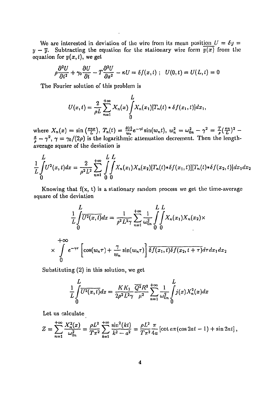We are interested in deviation of the wire from its mean position  $U = \delta y =$  $y - \overline{y}$ . Subtracting the equation for the stationary wire form  $\overline{y(x)}$  from the equation for  $y(x, t)$ , we get

$$
\rho \frac{\partial^2 U}{\partial t^2} + \gamma_0 \frac{\partial U}{\partial t} - T \frac{\partial^2 U}{\partial x^2} - \kappa U = \delta f(x, t) ; \quad U(0, t) = U(L, t) = 0
$$

The Fourier solution of this problem is

$$
U(x,t) = \frac{2}{\rho L} \sum_{n=1}^{+\infty} X_n(x) \int_0^L X_n(x_1) [T_n(t) * \delta f(x_1,t)] dx_1,
$$

where  $X_n(x) = \sin(\frac{\pi nx}{L})$ ,  $T_n(t) = \frac{\theta(t)}{w_n} e^{-\gamma t} \sin(w_n t)$ ,  $w_n^2 = \omega_{0n}^2 - \gamma^2 = \frac{T}{\rho} (\frac{\pi n}{L})^2 - \frac{T}{\rho} (\frac{\pi n}{L})^2$  $\frac{\alpha}{2} - \gamma^2$ ,  $\gamma = \gamma_0/(2\rho)$  is the logarithmic attenuation decrement. Then the lengthaverage square of the deviation is

$$
\frac{1}{L}\int_{0}^{L}U^{2}(x,t)dx = \frac{2}{\rho^{2}L^{2}}\sum_{n=1}^{+\infty}\int_{0}^{L}\int_{0}^{L}X_{n}(x_{1})X_{n}(x_{2})[T_{n}(t)*\delta f(x_{1},t)][T_{n}(t)*\delta f(x_{2},t)]dx_{1}dx_{2}
$$

Knowing that  $f(x, t)$  is a stationary random process we get the time-average square of the deviation

$$
\frac{L}{L} \int_{0}^{L} \overline{U^{2}(x,t)} dx = \frac{1}{\rho^{2} L^{2} \gamma} \sum_{n=1}^{+\infty} \frac{1}{\omega_{0n}^{2}} \int_{0}^{L} \int_{0}^{L} X_{n}(x_{1}) X_{n}(x_{2}) \times
$$
\n
$$
\times \int_{0}^{+\infty} e^{-\gamma \tau} \left[ \cos(w_{n} \tau) + \frac{\gamma}{w_{n}} \sin(w_{n} \tau) \right] \overline{\delta f(x_{1}, t) \delta f(x_{2}, t + \tau)} d\tau dx_{1} dx_{2}
$$

Substituting (2) in this solution, we get

$$
\frac{1}{L}\int\limits_0^L \overline{U^2(x,t)}dx = \frac{KK_1}{2\rho^2 L^2 \gamma}\frac{\overline{Q^2}R^2}{\mu^2}\sum_{n=1}^{+\infty}\frac{1}{\omega_{0n}^2}\int\limits_0^L j(x)X_n^2(x)dx
$$

Let us calculate

$$
Z = \sum_{n=1}^{+\infty} \frac{X_n^2(x)}{\omega_{0n}^2} = \frac{\rho L^2}{T\pi^2} \sum_{k=1}^{+\infty} \frac{\sin^2(kt)}{k^2 - a^2} = \frac{\rho L^2}{T\pi^2} \frac{\pi}{4a} \left[ \cot a\pi (\cos 2at - 1) + \sin 2at \right],
$$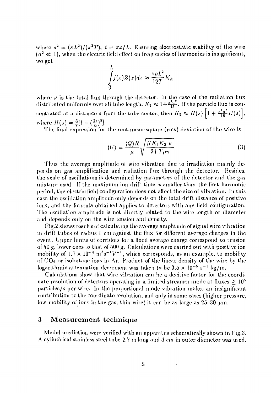where  $a^2 = (\kappa L^2)/(\pi^2 T)$ ,  $t = \pi x/L$ . Ensuring electrostatic stability of the wire  $(a^2 \ll 1)$ , when the electric field effect on frequencies of harmonics is insignificant, we get

$$
\int_{0}^{L} j(x)Z(x)dx \approx \frac{\nu \rho L^{2}}{12T}K_{2},
$$

where  $\nu$  is the total flux through the detector. In the case of the radiation flux distributed uniformly over all tube length,  $K_2 \approx 1 + \frac{\pi^2 a^2}{15}$ . If the particle flux is con-*1* 2  $1 + \frac{\pi^2 a^2}{18} H(s)$  centrated at a distance *s* from the tube center, then  $K_2 \approx H(s) \left(1 + \frac{\pi^2 a^2}{18} H(s)\right)$ where  $H(s) = \frac{3}{2} [1 - (\frac{2s}{l})^2].$ 

The final expression for the root-mean-square (rms) deviation of the wire is

$$
\langle U \rangle = \frac{\langle Q \rangle R}{\mu} \sqrt{\frac{K K_1 K_2 \nu}{24 T \rho \gamma}}
$$
(3)

Thus the average amplitude of wire vibration due to irradiation mainly depends on gas amplification and radiation flux through the detector. Besides, the scale of oscillations is determined by parameters of the detector and the gas mixture used. If the maximum ion drift time is smaller than the first harmonic period, the electric field configuration does not affect the size of vibration. In this case the oscillation amplitude only depends on the total drift distance of positive ions, and the formula obtained applies to detectors with any field configuration. The oscillation amplitude is not directly related to the wire length or diameter and depends only on the wire tension and density.

Fig.2 shows results of calculating the average amplitude of signal wire vibration in drift tubes of radius 1 cm against the flux for different average charges in the event. Upper limits of corridors for a fixed average charge correspond to tension of 50 g, lower ones lo that of 500 g. Calculations were carried out with positive ion mobility of  $1.7 \times 10^{-4}$  m<sup>2</sup>s<sup>-1</sup>V<sup>-1</sup>, which corresponds, as an example, to mobility of CO<sub>2</sub> or isobutane ions in Ar. Product of the linear density of the wire by the logarithmic attenuation decrement was taken to be  $3.5 \times 10^{-5} \text{ s}^{-1} \text{ kg/m}$ .

Calculations show that wire vibration can be a decisive factor for the coordinate resolution of detectors operating in a limited streamer mode at fluxes  $\geq 10^5$ particles/s per wire. In the proportional mode vibration makes an insignificant contribution to the coordinate resolution, and only in some cases (higher pressure, low mobility of ions in the gas, thin wire) it can be as large as  $25-30$   $\mu$ m.

#### 3 Measurement technique

Model prediction were verified with an apparatus schematically shown in Fig.3. cylindrical stainless steel tube 2.7 m long and 3 cm in outer diameter was used.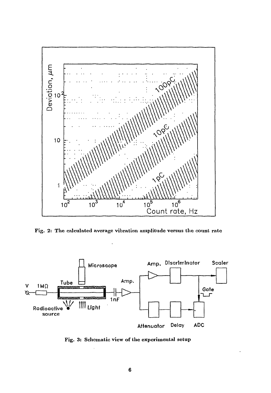

Fig. 2: The calculated average vibration amplitude versus the count rate



Fig. 3: Schematic view of the experimental setup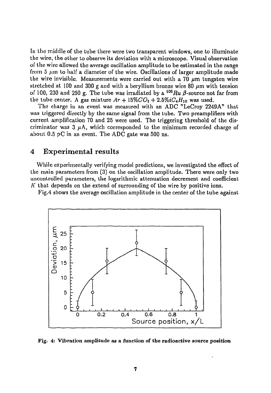In the middle of the tube there were two transparent windows, one to illuminate the wire, the other to observe its deviation with a microscope. Visual observation of the wire allowed the average oscillation amplitude to be estimated in the range from 5  $\mu$ m to half a diameter of the wire. Oscillations of larger amplitude made the wire invisible. Measurements were carried out with a 70  $\mu$ m tungsten wire stretched at 100 and 300 g and with a beryllium bronze wire 80  $\mu$ m with tension of 100, 230 and 250 g. The tube was irradiated by a <sup>106</sup> Ru  $\beta$ -source not far from the tube center. A gas mixture  $Ar + 15\%CO_2 + 2.5\% iC_4H_{10}$  was used.

The charge in an event was measured with an ADC "LeCroy 2249A" that was triggered directly by the same signal from the tube. Two preamplifiers with current amplification 70 and 25 were used. The triggering threshold of the discriminator was  $3 \mu A$ , which corresponded to the minimum recorded charge of about 0.5 pC in an event. The ADC gate was 500 ns.

#### 4 Experimental results

While experimentally verifying model predictions, we investigated the effect of the main parameters from (3) on the oscillation amplitude. There were only two uncontrolled parameters, the logarithmic attenuation decrement and coefficient  $K$  that depends on the extend of surrounding of the wire by positive ions.

Fig.4 shows the average oscillation amplitude in the center of the tube against



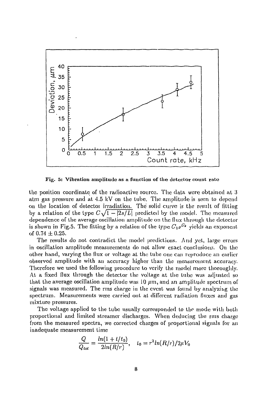

Fig. 5: Vibration amplitude as a function of the detector count rate

the position coordinate of the radioactive source. The data were obtained at 3 atm gas pressure and at 4.5 kV on the tube. The amplitude is seen to depend on the location of detectoi irradiation. The solid curve is the result of fitting by a relation of the type  $C\sqrt{1-2s/L}$  predicted by the model. The measured dependence of the average oscillation amplitude on the flux through the detector is shown in Fig.5. The fitting by a relation of the type  $C_1\nu^{C_2}$  yields an exponent of  $0.74 \pm 0.25$ .

The results do not contradict the model predictions. And yet, large errors in oscillation amplitude measurements do not allow exact conclusions. On the other hand, varying the flux or voltage at the tube one can reproduce an earlier observed amplitude with an accuracy higher than the measurement accuracy. Therefore we used the following procedure to verify the model more thoroughly. At a fixed flux through the detector the voltage at the tube was adjusted so that the average oscillation amplitude was 10  $\mu$ m, and an amplitude spectrum of signals was measured. The rms charge in the event was found by analyzing the spectrum. Measurements were carried out at different radiation (luxes and gas mixture pressures.

The voltage applied to the tube usually corresponded to the mode with both proportional and limited streamer discharges. When deducing the rms charge from the measured spectra, we corrected charges of proportional signals for an inadequate measurement time

$$
\frac{Q}{Q_{tot}} = \frac{ln(1 + l/t_0)}{2ln(R/r)}, \quad t_0 = r^2 ln(R/r)/2\mu V_0
$$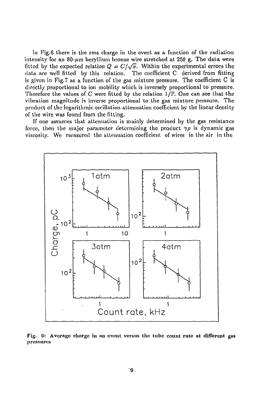In Fig.6 there is the rms charge in the event as a function of the radiation intensity for an 80- $\mu$ m beryllium bronze wire stretched at 250 g. The data were fitted by the expected relation  $Q = C/\sqrt{\nu}$ . Within the experimental errors the data are well fitted by this relation. The coefficient С derived from fitting is given in Fig.7 as a function of the gas mixture pressure. The coefficient С is directly proportional to ion mobility which is inversely proportional to pressure. Therefore the values of С were fitted by the relation 1/P. One can see that the vibration magnitude is inverse proportional to the gas mixture pressure. The product of the logarithmic oscillation attenuation coefficient by the linear density of the wire was found from the fitting.

If one assumes that attenuation is mainly determined by the gas resistance force, then the major parameter determining the product  $\gamma \rho$  is dynamic gas viscosity. We measured the attenuation coefficient of wires in the air in the



Fig. 6: Average charge in an event versus the tube count rate at different gas pressures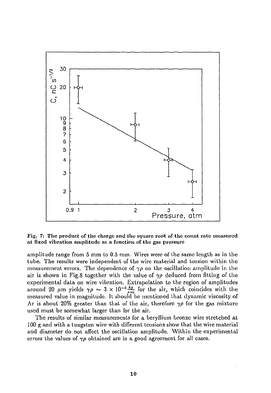

Fig. 7: The product of the charge and the square root of the count rate measured at fixed vibration amplitude as a function of the gas pressure

amplitude range from 5 mm to 0.5 mm. Wires were of the same length as in the tube. The results were independent of the wire material and tension within the measurement errors. The dependence of  $\gamma \rho$  on the oscillation amplitude in the air is shown in Fig.8 together with the value of  $\gamma \rho$  deduced from fitting of the experimental data on wire vibration. Extrapolation to the region of amplitudes around 20  $\mu$ m yields  $\gamma \rho \sim 3 \times 10^{-5} \frac{kg}{s \cdot m}$  for the air, which coincides with the measured value in magnitude. It should be mentioned that dynamic viscosity of Ar is about 20% greater than that of the air, therefore  $\gamma \rho$  for the gas mixture used must be somewhat larger than for the air.

The results of similar measurements for a beryllium bronze wire stretched at 100 g and with a tungsten wire with different tensions show that the wire material and diameter do not affect the oscillation amplitude. Within the experimental errors the values of  $\gamma \rho$  obtained are in a good agreement for all cases.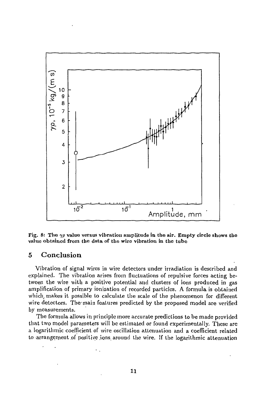

Fig. 8: The  $\gamma \rho$  value versus vibration amplitude in the air. Empty circle shows the **value obtained from the data of the wire vibration in the tube** 

#### 5 Conclusion

Vibration of signal wires in wire detectors under irradiation is described and explained. The vibration arises from fluctuations of repulsive forces acting between the wire with a positive potential and clusters of ions produced in gas amplification of primary ionization of recorded particles. A formula is obtained which, makes it possible to calculate the scale of the phenomenon for different wire detectors. The main features predicted by the proposed model are verified by measurements.

The formula allows in principle more accurate predictions to be made provided that two model parameters will be estimated or found experimentally. These are a logarithmic coefficient of wire oscillation attenuation and a coefficient related to arrangement of positive ions around the wire. If the logarithmic attenuation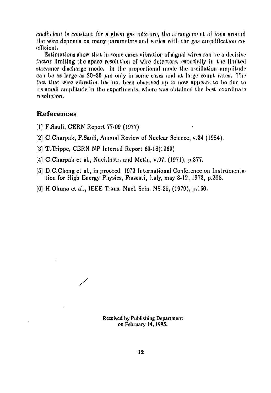coefficient is constant for a given gas mixture, the arrangement of ion» around the wire depends on many parameter» and varies with the gas amplification coefficient.

Estimations show that in some cases vibration of signal wires can be a decisive factor limiting the space resolution of wire detectors, especially in the limited streamer discharge mode, In the proportional mode the oscillation amplitude can be as large as  $20-30$  *um* only in some cases and at large count rates. The fact that wire vibration has not been observed up to now appears to be due to its small amplitude in the experiments, where was obtained the best coordinate resolution.

#### **References**

[1] F.Sauli, CERN Report 77-09 (1977)

*/* 

- [2] G.Charpak, F.Sauli, Annual Review of Nuclear Science, v.34 (1984),
- [3] T.Trippe, CERN NP Internal Report 69.-18(1969)
- [4] G.Charpak et al., Nucl.lnstr. and Meth., v.97, (1971), p.377.
- [5] D.C.Cheng et al., in proceed, 1973 International Conference on Instrumentation for High Energy Physics, Frascati, Italy, may 8-12, 1973, p.268.
- [6] H.Okuno et al., IEEE Trans. Nticl. Scin. NS-26, (1979), p. 160.

Received by Publishing Department on February 14,1995.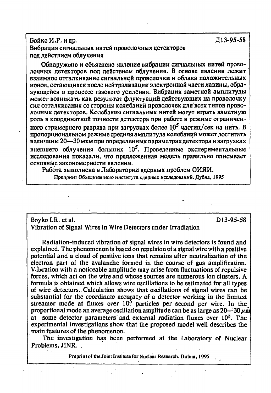#### БойкоИ.Р.идр. Д13-95-58 Вибрация сигнальных нитей проволочных детекторов под действием облучения

Обнаружено и объяснено явление вибрации сигнальных нитей проволочных детекторов под действием облучения. В основе явления лежит взаимное отталкивание сигнальной проволочки и облака положительных ионов, остающихся после нейтрализации электронной части лавины, образующейся в процессе газового усиления. Вибрация заметной амплитулы может возникать как результат флуктуаций действующих на проволочку сил отталкивания со стороны колебаний проволочек для всех типов проволочных детекторов. Колебания сигнальных нитей могут играть заметную роль в координатной точности детектора при работе в режиме ограниченного стримерного разряда при загрузках более  $10^5$  частиц/сек на нить. В пропорциональном режиме средняя амплитуда колебаний может достигать величины 20—30 мкм при определенных параметрах детектора и загрузках внешнего облучения больших  $10^5$ . Проведенные экспериментальные исследования показали, что предложенная модель правильно описывает основные закономерности явления.

Работа выполнена в Лаборатории ядерных проблем ОИЯИ. Препринт Объединенного института ядерных исследований. Дубна, 1995

#### Boyko I.R. et al. D13-95-58 Vibration of Signal Wires in Wire Detectors under Irradiation

Radiation-induced vibration of signal wires in wire detectors is found and explained. The phenomenon is based on repulsion of a signal wire with a positive potential and a cloud of positive ions that remains after neutralization of the electron part of the avalanche formed in the course of gas amplification. Vibration with a noticeable amplitude may arise from fluctuations of repulsive forces, which act on the wire and whose sources are numerous ion clusters. A formula is obtained which allows wire oscillations to be estimated for all types of wire detectors., Calculation shows that oscillations of signal wires can be substantial for the coordinate accuracy of a detector working in the limited streamer mode at fluxes over  $10^5$  particles per second per wire. In the proportional mode an average oscillation amplitude can be as large as  $20-30 \mu m$ at some detector parameters and external radiation fluxes over  $10<sup>5</sup>$ . The experimental investigations show that the proposed model well describes the main features of the phenomenon.

The investigation has been performed at the Laboratory of Nuclear Problems, JINR.

**Preprint of the Joint Institute for Nuclear Research. Dubna, 1995**